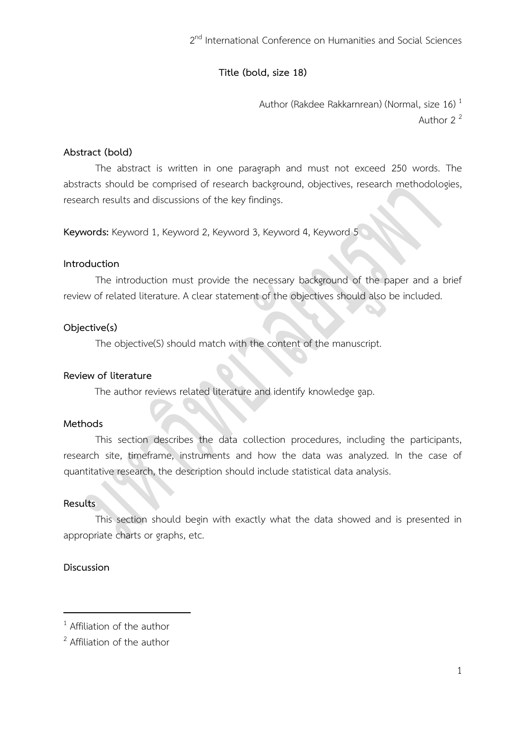2<sup>nd</sup> International Conference on Humanities and Social Sciences

# **Title (bold, size 18)**

Author (Rakdee Rakkarnrean) (Normal, size 16)<sup>1</sup> Author 2<sup>2</sup>

# **Abstract (bold)**

The abstract is written in one paragraph and must not exceed 250 words. The abstracts should be comprised of research background, objectives, research methodologies, research results and discussions of the key findings.

**Keywords:** Keyword 1, Keyword 2, Keyword 3, Keyword 4, Keyword 5

### **Introduction**

The introduction must provide the necessary background of the paper and a brief review of related literature. A clear statement of the objectives should also be included.

### **Objective(s)**

The objective(S) should match with the content of the manuscript.

### **Review of literature**

The author reviews related literature and identify knowledge gap.

## **Methods**

This section describes the data collection procedures, including the participants, research site, timeframe, instruments and how the data was analyzed. In the case of quantitative research, the description should include statistical data analysis.

#### **Results**

This section should begin with exactly what the data showed and is presented in appropriate charts or graphs, etc.

## **Discussion**

1

<sup>&</sup>lt;sup>1</sup> Affiliation of the author

<sup>&</sup>lt;sup>2</sup> Affiliation of the author